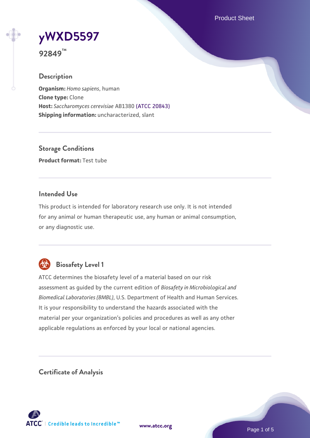Product Sheet

# **[yWXD5597](https://www.atcc.org/products/92849)**

**92849™**

# **Description**

**Organism:** *Homo sapiens*, human **Clone type:** Clone **Host:** *Saccharomyces cerevisiae* AB1380 [\(ATCC 20843\)](https://www.atcc.org/products/20843) **Shipping information:** uncharacterized, slant

**Storage Conditions Product format:** Test tube

#### **Intended Use**

This product is intended for laboratory research use only. It is not intended for any animal or human therapeutic use, any human or animal consumption, or any diagnostic use.



# **Biosafety Level 1**

ATCC determines the biosafety level of a material based on our risk assessment as guided by the current edition of *Biosafety in Microbiological and Biomedical Laboratories (BMBL)*, U.S. Department of Health and Human Services. It is your responsibility to understand the hazards associated with the material per your organization's policies and procedures as well as any other applicable regulations as enforced by your local or national agencies.

**Certificate of Analysis**

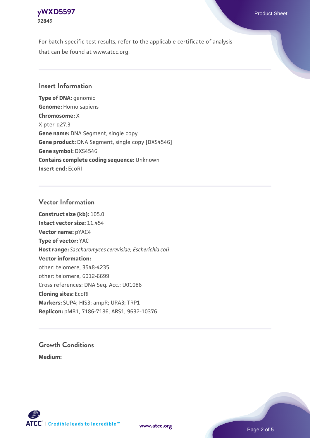

For batch-specific test results, refer to the applicable certificate of analysis that can be found at www.atcc.org.

#### **Insert Information**

**Type of DNA:** genomic **Genome:** Homo sapiens **Chromosome:** X X pter-q27.3 **Gene name:** DNA Segment, single copy **Gene product:** DNA Segment, single copy [DXS4546] **Gene symbol:** DXS4546 **Contains complete coding sequence:** Unknown **Insert end:** EcoRI

#### **Vector Information**

**Construct size (kb):** 105.0 **Intact vector size:** 11.454 **Vector name:** pYAC4 **Type of vector:** YAC **Host range:** *Saccharomyces cerevisiae*; *Escherichia coli* **Vector information:** other: telomere, 3548-4235 other: telomere, 6012-6699 Cross references: DNA Seq. Acc.: U01086 **Cloning sites:** EcoRI **Markers:** SUP4; HIS3; ampR; URA3; TRP1 **Replicon:** pMB1, 7186-7186; ARS1, 9632-10376

# **Growth Conditions**

**Medium:** 



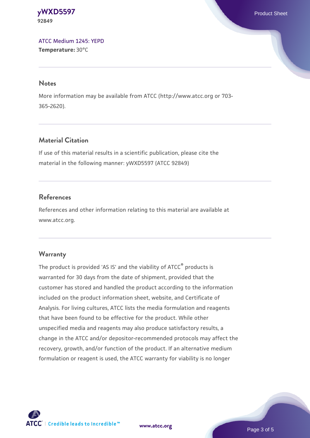**[yWXD5597](https://www.atcc.org/products/92849)** Product Sheet **92849**

[ATCC Medium 1245: YEPD](https://www.atcc.org/-/media/product-assets/documents/microbial-media-formulations/1/2/4/5/atcc-medium-1245.pdf?rev=705ca55d1b6f490a808a965d5c072196) **Temperature:** 30°C

#### **Notes**

More information may be available from ATCC (http://www.atcc.org or 703- 365-2620).

## **Material Citation**

If use of this material results in a scientific publication, please cite the material in the following manner: yWXD5597 (ATCC 92849)

#### **References**

References and other information relating to this material are available at www.atcc.org.

#### **Warranty**

The product is provided 'AS IS' and the viability of ATCC® products is warranted for 30 days from the date of shipment, provided that the customer has stored and handled the product according to the information included on the product information sheet, website, and Certificate of Analysis. For living cultures, ATCC lists the media formulation and reagents that have been found to be effective for the product. While other unspecified media and reagents may also produce satisfactory results, a change in the ATCC and/or depositor-recommended protocols may affect the recovery, growth, and/or function of the product. If an alternative medium formulation or reagent is used, the ATCC warranty for viability is no longer



**[www.atcc.org](http://www.atcc.org)**

Page 3 of 5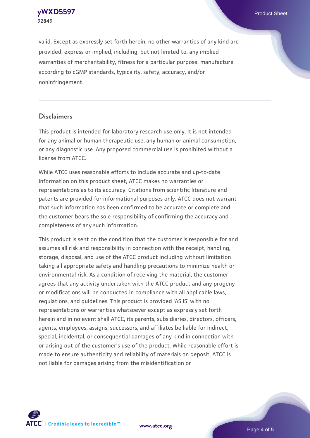**[yWXD5597](https://www.atcc.org/products/92849)** Product Sheet **92849**

valid. Except as expressly set forth herein, no other warranties of any kind are provided, express or implied, including, but not limited to, any implied warranties of merchantability, fitness for a particular purpose, manufacture according to cGMP standards, typicality, safety, accuracy, and/or noninfringement.

#### **Disclaimers**

This product is intended for laboratory research use only. It is not intended for any animal or human therapeutic use, any human or animal consumption, or any diagnostic use. Any proposed commercial use is prohibited without a license from ATCC.

While ATCC uses reasonable efforts to include accurate and up-to-date information on this product sheet, ATCC makes no warranties or representations as to its accuracy. Citations from scientific literature and patents are provided for informational purposes only. ATCC does not warrant that such information has been confirmed to be accurate or complete and the customer bears the sole responsibility of confirming the accuracy and completeness of any such information.

This product is sent on the condition that the customer is responsible for and assumes all risk and responsibility in connection with the receipt, handling, storage, disposal, and use of the ATCC product including without limitation taking all appropriate safety and handling precautions to minimize health or environmental risk. As a condition of receiving the material, the customer agrees that any activity undertaken with the ATCC product and any progeny or modifications will be conducted in compliance with all applicable laws, regulations, and guidelines. This product is provided 'AS IS' with no representations or warranties whatsoever except as expressly set forth herein and in no event shall ATCC, its parents, subsidiaries, directors, officers, agents, employees, assigns, successors, and affiliates be liable for indirect, special, incidental, or consequential damages of any kind in connection with or arising out of the customer's use of the product. While reasonable effort is made to ensure authenticity and reliability of materials on deposit, ATCC is not liable for damages arising from the misidentification or



**[www.atcc.org](http://www.atcc.org)**

Page 4 of 5